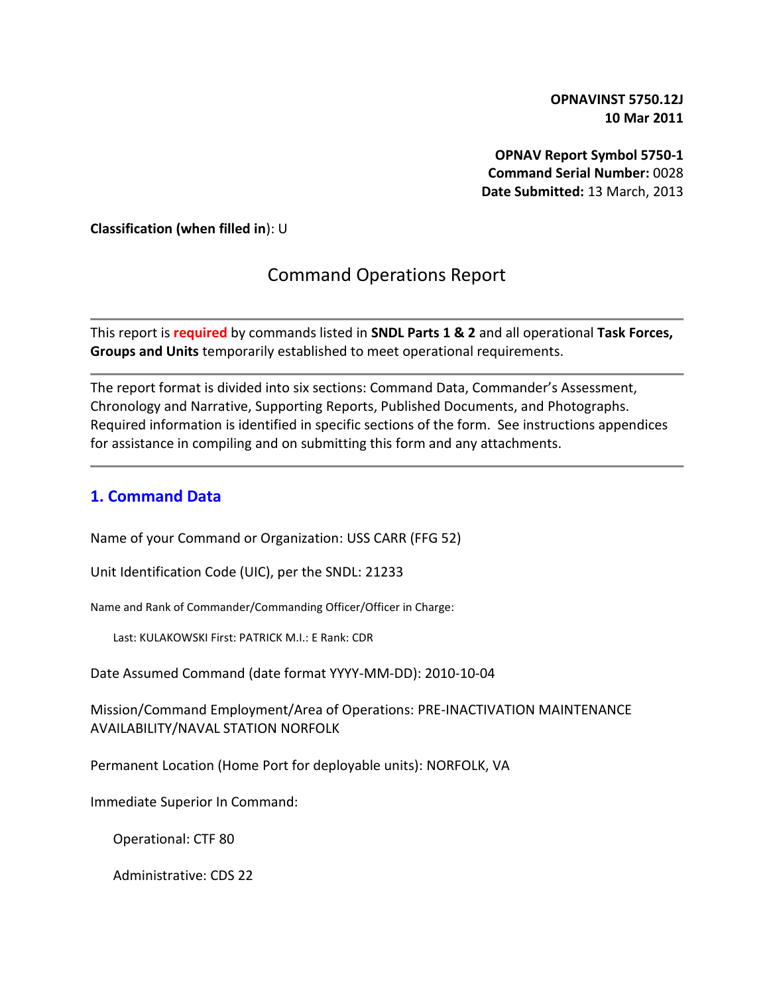**OPNAVINST 5750.12J 10 Mar 2011**

**OPNAV Report Symbol 5750-1 Command Serial Number:** 0028 **Date Submitted:** 13 March, 2013

**Classification (when filled in**): U

# Command Operations Report

This report is **required** by commands listed in **SNDL Parts 1 & 2** and all operational **Task Forces, Groups and Units** temporarily established to meet operational requirements.

The report format is divided into six sections: Command Data, Commander's Assessment, Chronology and Narrative, Supporting Reports, Published Documents, and Photographs. Required information is identified in specific sections of the form. See instructions appendices for assistance in compiling and on submitting this form and any attachments.

#### **1. Command Data**

Name of your Command or Organization: USS CARR (FFG 52)

Unit Identification Code (UIC), per the SNDL: 21233

Name and Rank of Commander/Commanding Officer/Officer in Charge:

Last: KULAKOWSKI First: PATRICK M.I.: E Rank: CDR

Date Assumed Command (date format YYYY-MM-DD): 2010-10-04

Mission/Command Employment/Area of Operations: PRE-INACTIVATION MAINTENANCE AVAILABILITY/NAVAL STATION NORFOLK

Permanent Location (Home Port for deployable units): NORFOLK, VA

Immediate Superior In Command:

Operational: CTF 80

Administrative: CDS 22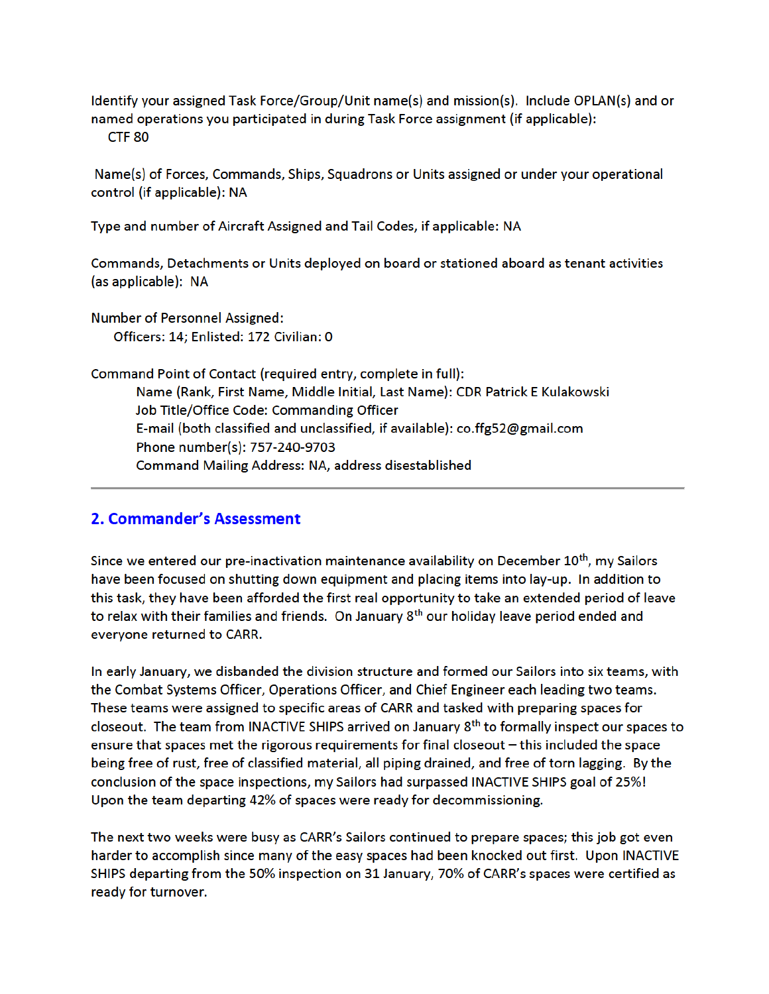Identify your assigned Task Force/Group/Unit name(s) and mission(s). Include OPLAN(s) and or named operations you participated in during Task Force assignment (if applicable): CTF<sub>80</sub>

Name(s) of Forces, Commands, Ships, Squadrons or Units assigned or under your operational control (if applicable): NA

Type and number of Aircraft Assigned and Tail Codes, if applicable: NA

Commands, Detachments or Units deployed on board or stationed aboard as tenant activities (as applicable): NA

Number of Personnel Assigned: Officers: 14; Enlisted: 172 Civilian: 0

Command Point of Contact (required entry, complete in full): Name (Rank, First Name, Middle Initial, Last Name): CDR Patrick E Kulakowski Job Title/Office Code: Commanding Officer E-mail (both classified and unclassified, if available): co.ffg52@gmail.com Phone number(s): 757-240-9703 Command Mailing Address: NA, address disestablished

#### 2. Commander's Assessment

Since we entered our pre-inactivation maintenance availability on December 10<sup>th</sup>, my Sailors have been focused on shutting down equipment and placing items into lay-up. In addition to this task, they have been afforded the first real opportunity to take an extended period of leave to relax with their families and friends. On January 8<sup>th</sup> our holiday leave period ended and everyone returned to CARR.

In early January, we disbanded the division structure and formed our Sailors into six teams, with the Combat Systems Officer, Operations Officer, and Chief Engineer each leading two teams. These teams were assigned to specific areas of CARR and tasked with preparing spaces for closeout. The team from INACTIVE SHIPS arrived on January  $8<sup>th</sup>$  to formally inspect our spaces to ensure that spaces met the rigorous requirements for final closeout - this included the space being free of rust, free of classified material, all piping drained, and free of torn lagging. By the conclusion of the space inspections, my Sailors had surpassed INACTIVE SHIPS goal of 25%! Upon the team departing 42% of spaces were ready for decommissioning.

The next two weeks were busy as CARR's Sailors continued to prepare spaces; this job got even harder to accomplish since many of the easy spaces had been knocked out first. Upon INACTIVE SHIPS departing from the 50% inspection on 31 January, 70% of CARR's spaces were certified as ready for turnover.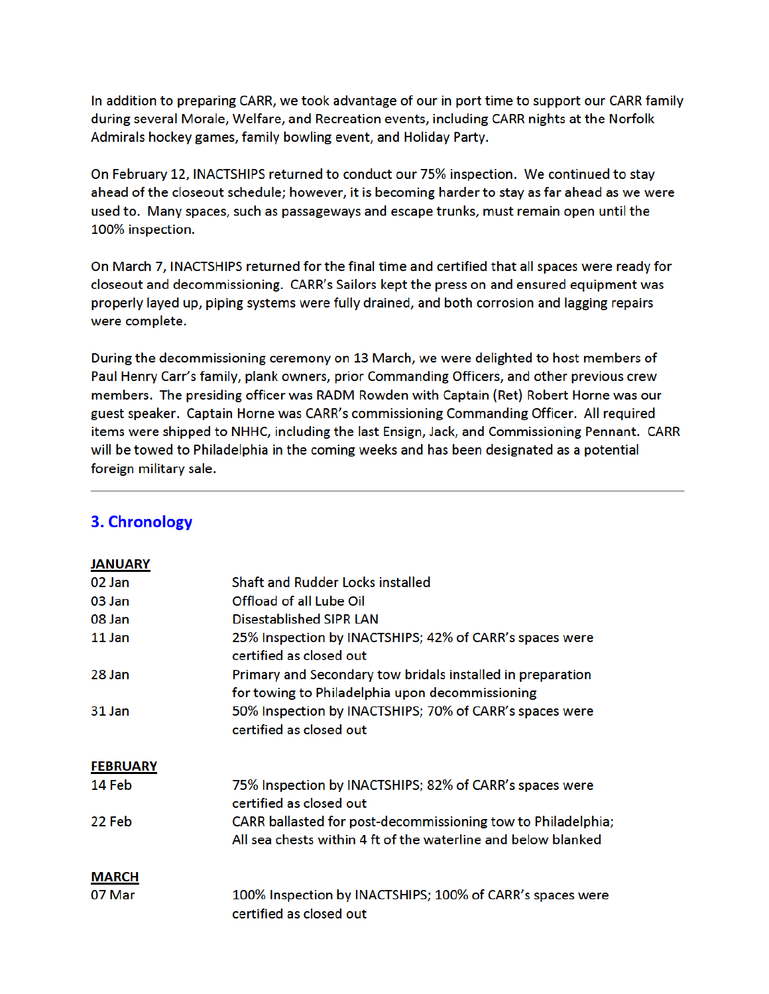In addition to preparing CARR, we took advantage of our in port time to support our CARR family during several Morale, Welfare, and Recreation events, including CARR nights at the Norfolk Admirals hockey games, family bowling event, and Holiday Party.

On February 12, INACTSHIPS returned to conduct our 75% inspection. We continued to stay ahead of the closeout schedule; however, it is becoming harder to stay as far ahead as we were used to. Many spaces, such as passageways and escape trunks, must remain open until the 100% inspection.

On March 7, INACTSHIPS returned for the final time and certified that all spaces were ready for closeout and decommissioning. CARR's Sailors kept the press on and ensured equipment was properly layed up, piping systems were fully drained, and both corrosion and lagging repairs were complete.

During the decommissioning ceremony on 13 March, we were delighted to host members of Paul Henry Carr's family, plank owners, prior Commanding Officers, and other previous crew members. The presiding officer was RADM Rowden with Captain (Ret) Robert Horne was our guest speaker. Captain Horne was CARR's commissioning Commanding Officer. All required items were shipped to NHHC, including the last Ensign, Jack, and Commissioning Pennant. CARR will be towed to Philadelphia in the coming weeks and has been designated as a potential foreign military sale.

| <b>JANUARY</b>  |                                                                                                                               |
|-----------------|-------------------------------------------------------------------------------------------------------------------------------|
| 02 Jan          | <b>Shaft and Rudder Locks installed</b>                                                                                       |
| 03 Jan          | <b>Offload of all Lube Oil</b>                                                                                                |
| 08 Jan          | Disestablished SIPR LAN                                                                                                       |
| 11 Jan          | 25% Inspection by INACTSHIPS; 42% of CARR's spaces were<br>certified as closed out                                            |
| 28 Jan          | Primary and Secondary tow bridals installed in preparation<br>for towing to Philadelphia upon decommissioning                 |
| 31 Jan          | 50% Inspection by INACTSHIPS; 70% of CARR's spaces were<br>certified as closed out                                            |
| <b>FEBRUARY</b> |                                                                                                                               |
| 14 Feb          | 75% Inspection by INACTSHIPS; 82% of CARR's spaces were<br>certified as closed out                                            |
| 22 Feb          | CARR ballasted for post-decommissioning tow to Philadelphia;<br>All sea chests within 4 ft of the waterline and below blanked |
| <b>MARCH</b>    |                                                                                                                               |
| 07 Mar          | 100% Inspection by INACTSHIPS; 100% of CARR's spaces were<br>certified as closed out                                          |

### 3. Chronology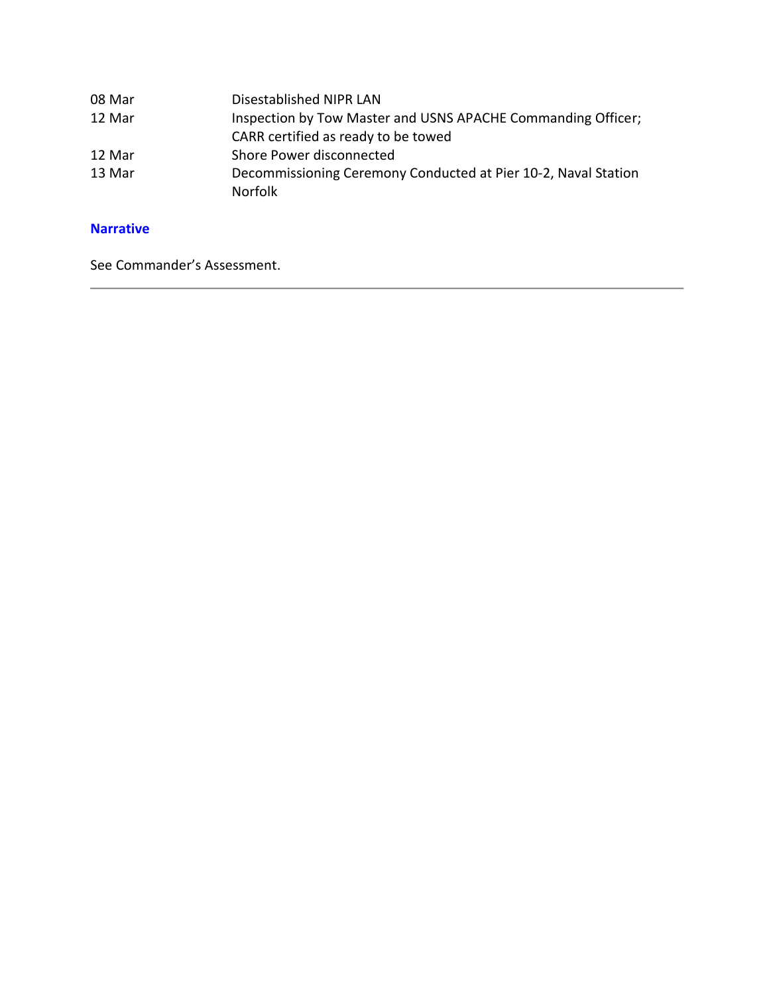| 08 Mar | Disestablished NIPR LAN                                        |
|--------|----------------------------------------------------------------|
| 12 Mar | Inspection by Tow Master and USNS APACHE Commanding Officer;   |
|        | CARR certified as ready to be towed                            |
| 12 Mar | Shore Power disconnected                                       |
| 13 Mar | Decommissioning Ceremony Conducted at Pier 10-2, Naval Station |
|        | <b>Norfolk</b>                                                 |

#### **Narrative**

See Commander's Assessment.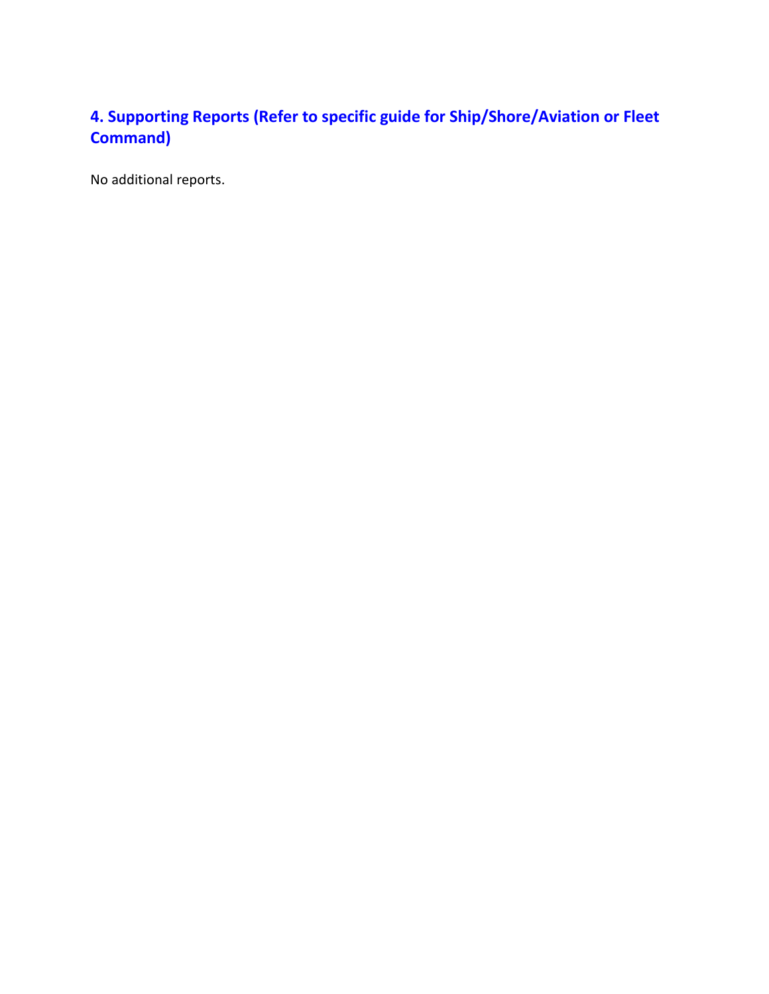# **4. Supporting Reports (Refer to specific guide for Ship/Shore/Aviation or Fleet Command)**

No additional reports.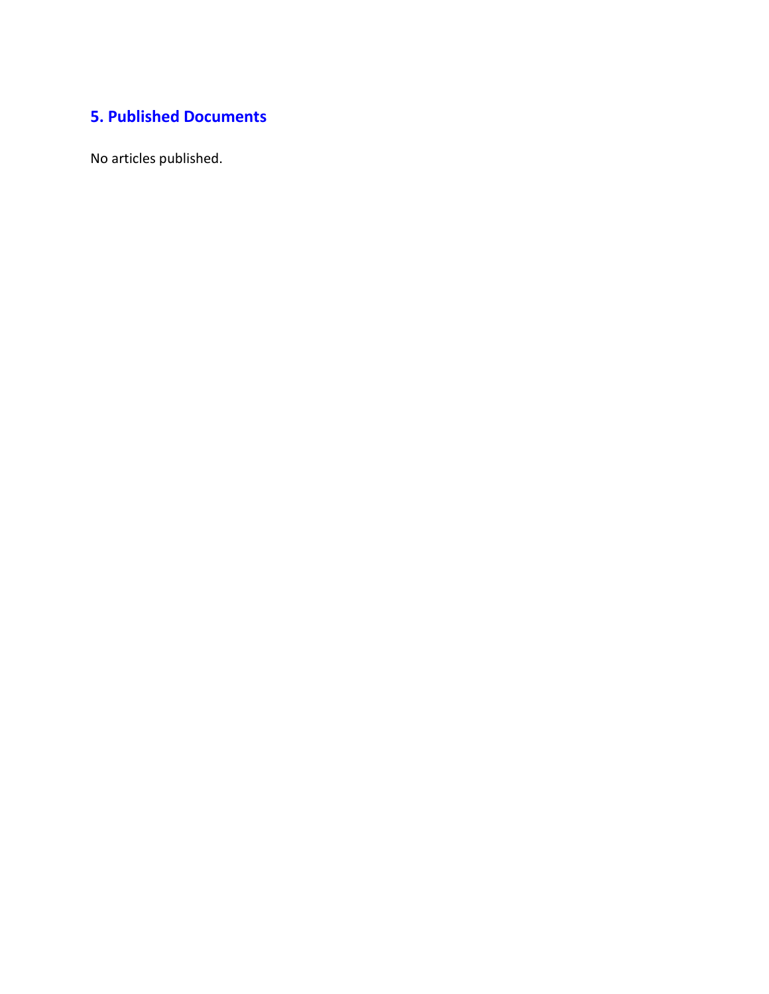# **5. Published Documents**

No articles published.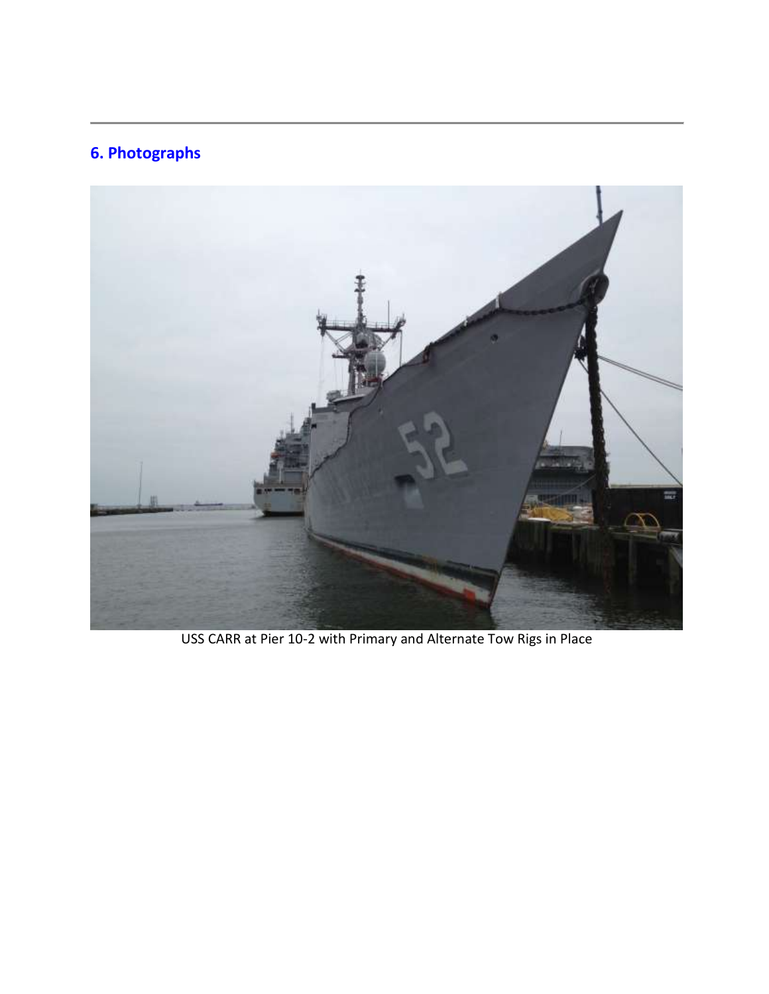# **6. Photographs**



USS CARR at Pier 10-2 with Primary and Alternate Tow Rigs in Place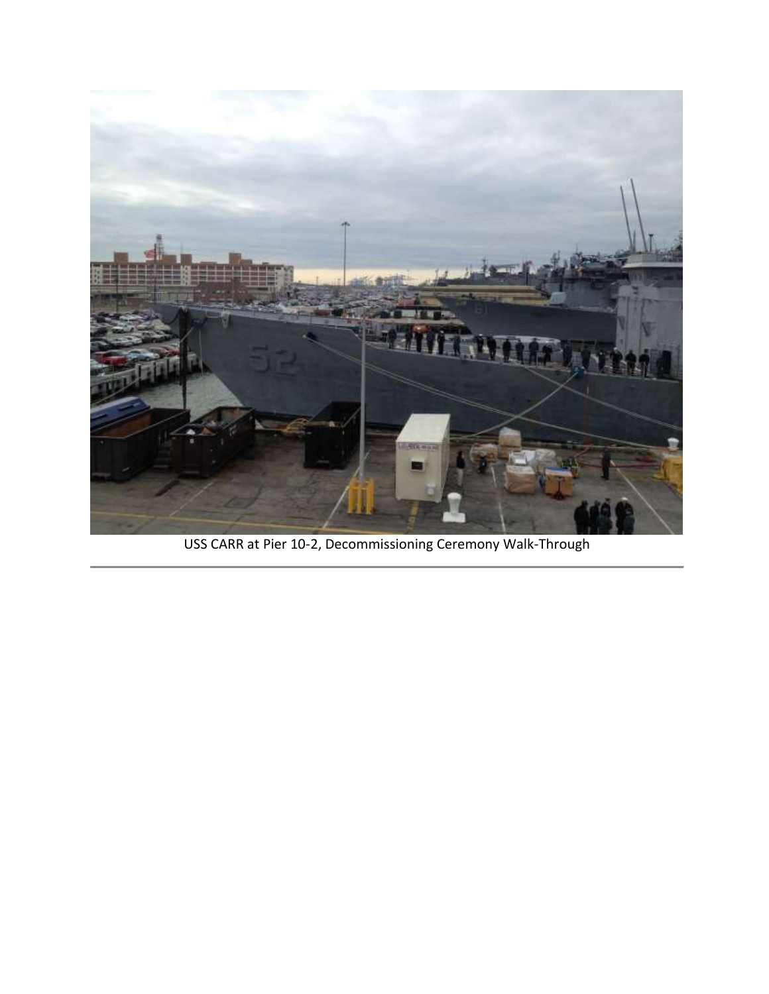

USS CARR at Pier 10-2, Decommissioning Ceremony Walk-Through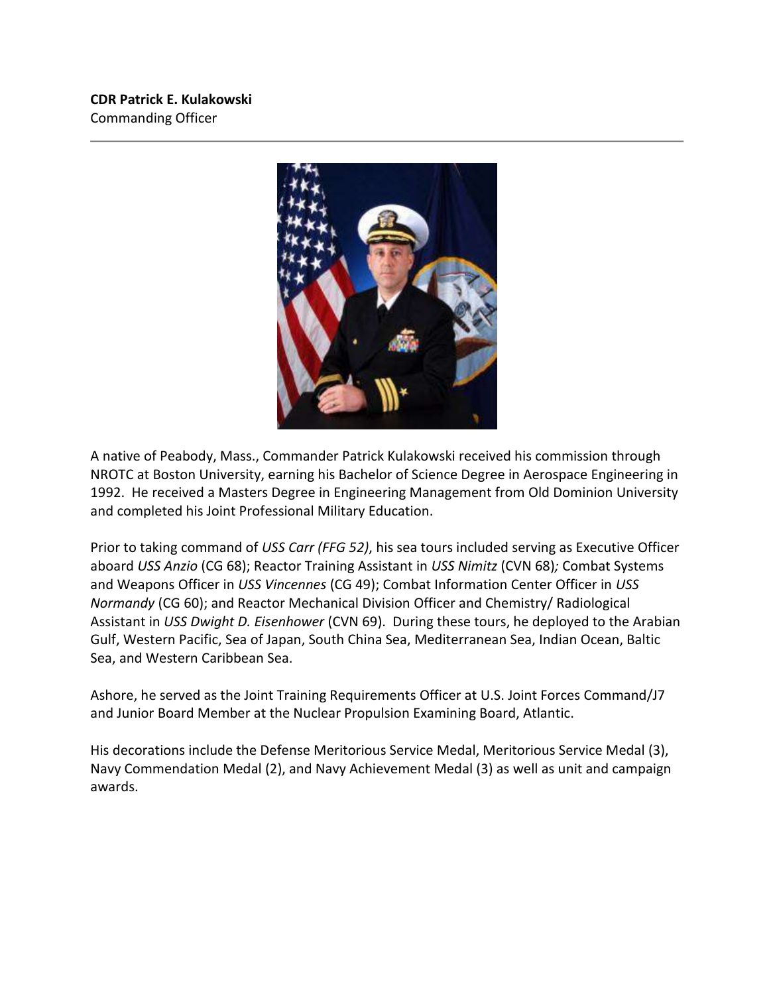**CDR Patrick E. Kulakowski** Commanding Officer



A native of Peabody, Mass., Commander Patrick Kulakowski received his commission through NROTC at Boston University, earning his Bachelor of Science Degree in Aerospace Engineering in 1992. He received a Masters Degree in Engineering Management from Old Dominion University and completed his Joint Professional Military Education.

Prior to taking command of *USS Carr (FFG 52)*, his sea tours included serving as Executive Officer aboard *USS Anzio* (CG 68); Reactor Training Assistant in *USS Nimitz* (CVN 68)*;* Combat Systems and Weapons Officer in *USS Vincennes* (CG 49); Combat Information Center Officer in *USS Normandy* (CG 60); and Reactor Mechanical Division Officer and Chemistry/ Radiological Assistant in *USS Dwight D. Eisenhower* (CVN 69). During these tours, he deployed to the Arabian Gulf, Western Pacific, Sea of Japan, South China Sea, Mediterranean Sea, Indian Ocean, Baltic Sea, and Western Caribbean Sea.

Ashore, he served as the Joint Training Requirements Officer at U.S. Joint Forces Command/J7 and Junior Board Member at the Nuclear Propulsion Examining Board, Atlantic.

His decorations include the Defense Meritorious Service Medal, Meritorious Service Medal (3), Navy Commendation Medal (2), and Navy Achievement Medal (3) as well as unit and campaign awards.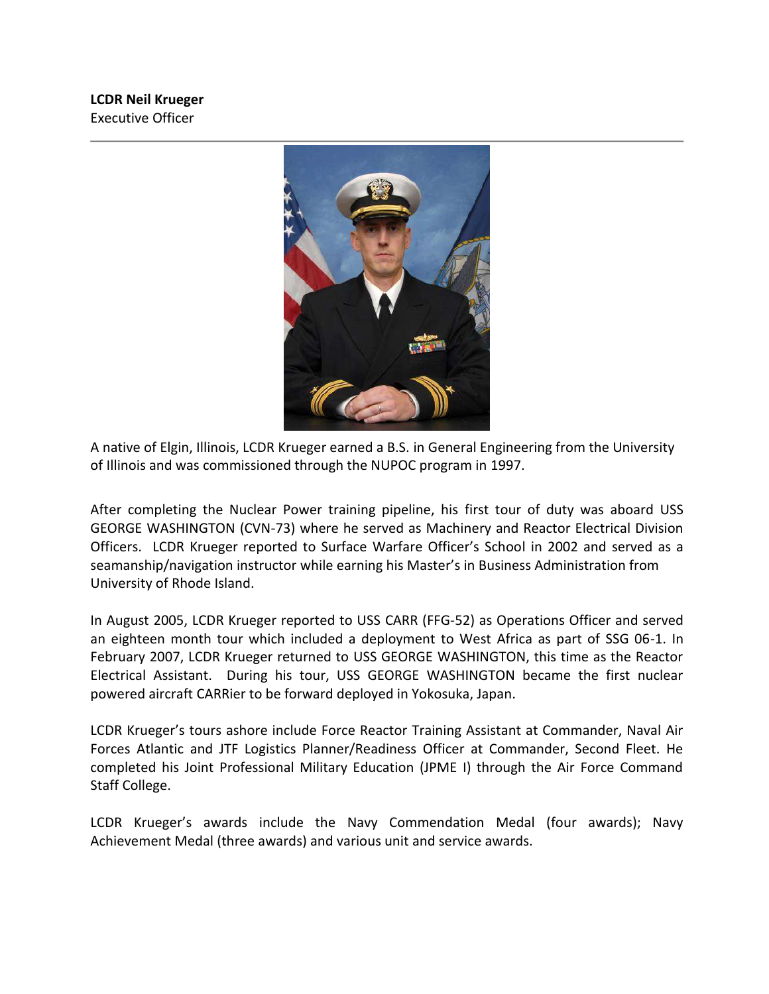

A native of Elgin, Illinois, LCDR Krueger earned a B.S. in General Engineering from the University of Illinois and was commissioned through the NUPOC program in 1997.

After completing the Nuclear Power training pipeline, his first tour of duty was aboard USS GEORGE WASHINGTON (CVN-73) where he served as Machinery and Reactor Electrical Division Officers. LCDR Krueger reported to Surface Warfare Officer's School in 2002 and served as a seamanship/navigation instructor while earning his Master's in Business Administration from University of Rhode Island.

In August 2005, LCDR Krueger reported to USS CARR (FFG-52) as Operations Officer and served an eighteen month tour which included a deployment to West Africa as part of SSG 06-1. In February 2007, LCDR Krueger returned to USS GEORGE WASHINGTON, this time as the Reactor Electrical Assistant. During his tour, USS GEORGE WASHINGTON became the first nuclear powered aircraft CARRier to be forward deployed in Yokosuka, Japan.

LCDR Krueger's tours ashore include Force Reactor Training Assistant at Commander, Naval Air Forces Atlantic and JTF Logistics Planner/Readiness Officer at Commander, Second Fleet. He completed his Joint Professional Military Education (JPME I) through the Air Force Command Staff College.

LCDR Krueger's awards include the Navy Commendation Medal (four awards); Navy Achievement Medal (three awards) and various unit and service awards.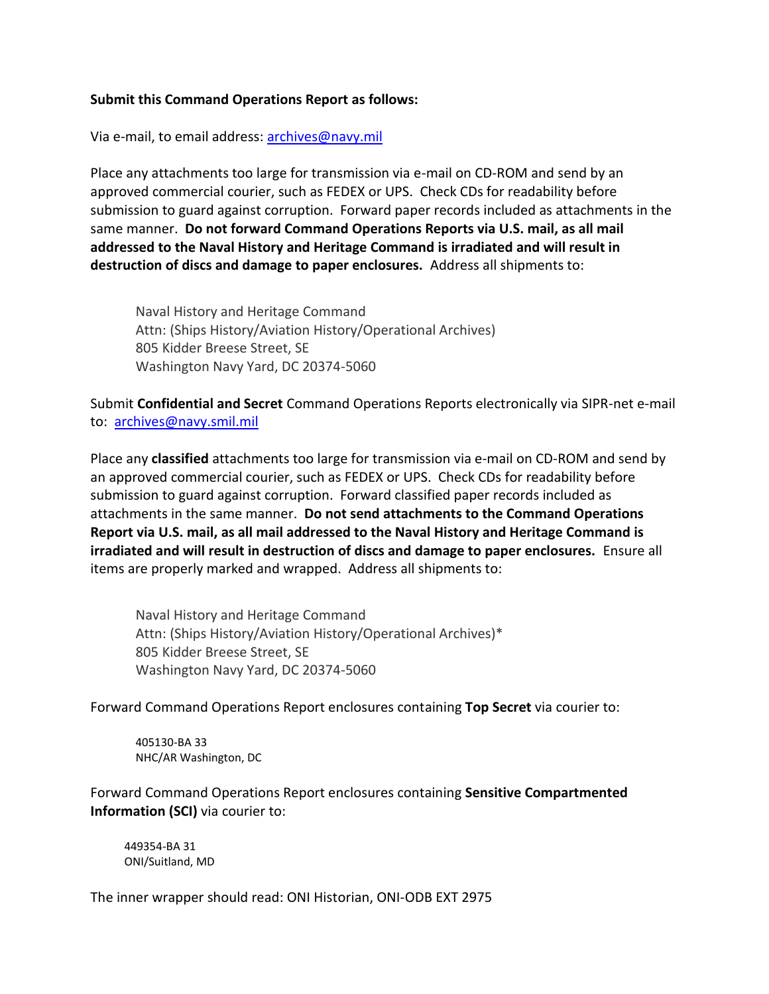#### **Submit this Command Operations Report as follows:**

Via e-mail, to email address: archives@navy.mil

Place any attachments too large for transmission via e-mail on CD-ROM and send by an approved commercial courier, such as FEDEX or UPS. Check CDs for readability before submission to guard against corruption. Forward paper records included as attachments in the same manner. **Do not forward Command Operations Reports via U.S. mail, as all mail addressed to the Naval History and Heritage Command is irradiated and will result in destruction of discs and damage to paper enclosures.** Address all shipments to:

Naval History and Heritage Command Attn: (Ships History/Aviation History/Operational Archives) 805 Kidder Breese Street, SE Washington Navy Yard, DC 20374-5060

Submit **Confidential and Secret** Command Operations Reports electronically via SIPR-net e-mail to: archives@navy.smil.mil

Place any **classified** attachments too large for transmission via e-mail on CD-ROM and send by an approved commercial courier, such as FEDEX or UPS. Check CDs for readability before submission to guard against corruption. Forward classified paper records included as attachments in the same manner. **Do not send attachments to the Command Operations Report via U.S. mail, as all mail addressed to the Naval History and Heritage Command is irradiated and will result in destruction of discs and damage to paper enclosures.** Ensure all items are properly marked and wrapped. Address all shipments to:

Naval History and Heritage Command Attn: (Ships History/Aviation History/Operational Archives)\* 805 Kidder Breese Street, SE Washington Navy Yard, DC 20374-5060

Forward Command Operations Report enclosures containing **Top Secret** via courier to:

405130-BA 33 NHC/AR Washington, DC

Forward Command Operations Report enclosures containing **Sensitive Compartmented Information (SCI)** via courier to:

449354-BA 31 ONI/Suitland, MD

The inner wrapper should read: ONI Historian, ONI-ODB EXT 2975